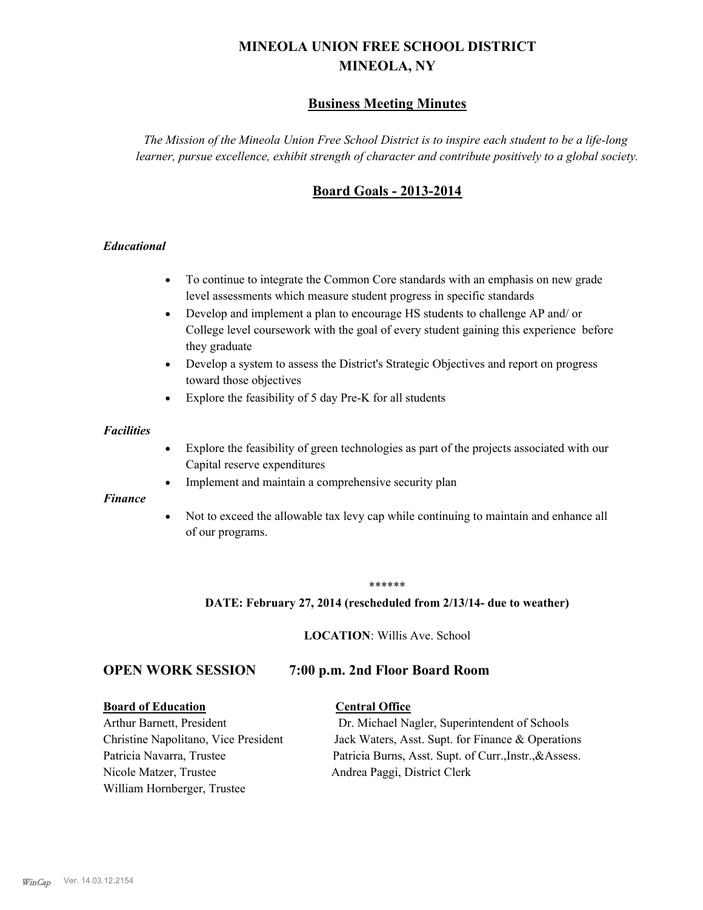# **MINEOLA UNION FREE SCHOOL DISTRICT MINEOLA, NY**

# **Business Meeting Minutes**

*The Mission of the Mineola Union Free School District is to inspire each student to be a life-long learner, pursue excellence, exhibit strength of character and contribute positively to a global society.*

# **Board Goals - 2013-2014**

#### *Educational*

- · To continue to integrate the Common Core standards with an emphasis on new grade level assessments which measure student progress in specific standards
- · Develop and implement a plan to encourage HS students to challenge AP and/ or College level coursework with the goal of every student gaining this experience before they graduate
- Develop a system to assess the District's Strategic Objectives and report on progress toward those objectives
- · Explore the feasibility of 5 day Pre-K for all students

#### *Facilities*

- · Explore the feasibility of green technologies as part of the projects associated with our Capital reserve expenditures
- Implement and maintain a comprehensive security plan

#### *Finance*

• Not to exceed the allowable tax levy cap while continuing to maintain and enhance all of our programs.

#### \*\*\*\*\*\*

#### **DATE: February 27, 2014 (rescheduled from 2/13/14- due to weather)**

**LOCATION**: Willis Ave. School

## **OPEN WORK SESSION 7:00 p.m. 2nd Floor Board Room**

#### **Board of Education Central Office**

Nicole Matzer, Trustee Andrea Paggi, District Clerk William Hornberger, Trustee

Arthur Barnett, President Dr. Michael Nagler, Superintendent of Schools Christine Napolitano, Vice President Jack Waters, Asst. Supt. for Finance & Operations Patricia Navarra, Trustee Patricia Burns, Asst. Supt. of Curr., Instr., &Assess.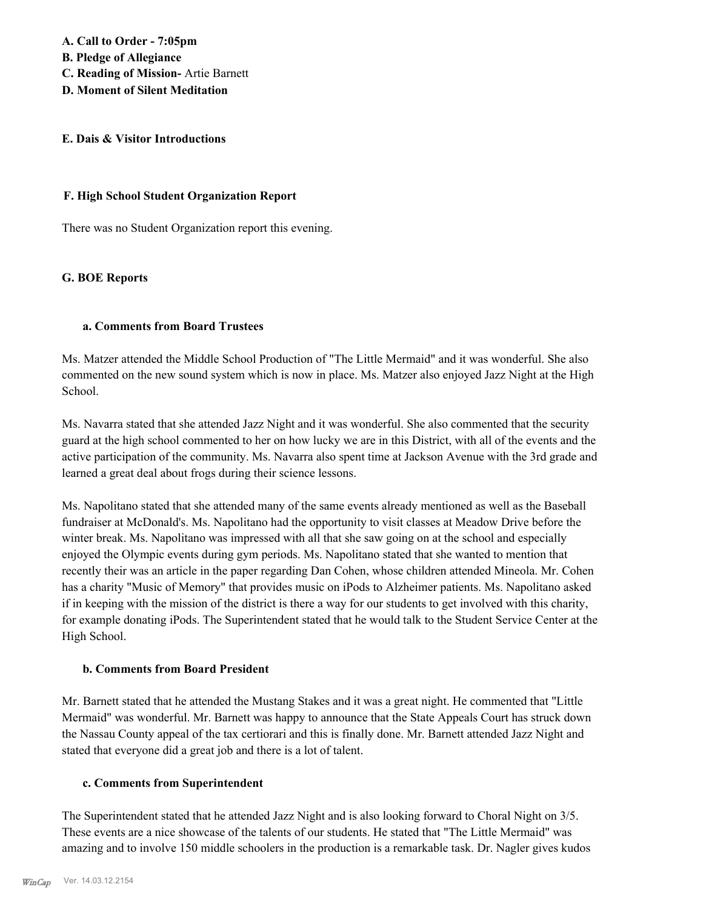**A. Call to Order - 7:05pm B. Pledge of Allegiance C. Reading of Mission-** Artie Barnett **D. Moment of Silent Meditation**

#### **E. Dais & Visitor Introductions**

#### **F. High School Student Organization Report**

There was no Student Organization report this evening.

#### **G. BOE Reports**

#### **a. Comments from Board Trustees**

Ms. Matzer attended the Middle School Production of "The Little Mermaid" and it was wonderful. She also commented on the new sound system which is now in place. Ms. Matzer also enjoyed Jazz Night at the High School.

Ms. Navarra stated that she attended Jazz Night and it was wonderful. She also commented that the security guard at the high school commented to her on how lucky we are in this District, with all of the events and the active participation of the community. Ms. Navarra also spent time at Jackson Avenue with the 3rd grade and learned a great deal about frogs during their science lessons.

Ms. Napolitano stated that she attended many of the same events already mentioned as well as the Baseball fundraiser at McDonald's. Ms. Napolitano had the opportunity to visit classes at Meadow Drive before the winter break. Ms. Napolitano was impressed with all that she saw going on at the school and especially enjoyed the Olympic events during gym periods. Ms. Napolitano stated that she wanted to mention that recently their was an article in the paper regarding Dan Cohen, whose children attended Mineola. Mr. Cohen has a charity "Music of Memory" that provides music on iPods to Alzheimer patients. Ms. Napolitano asked if in keeping with the mission of the district is there a way for our students to get involved with this charity, for example donating iPods. The Superintendent stated that he would talk to the Student Service Center at the High School.

#### **b. Comments from Board President**

Mr. Barnett stated that he attended the Mustang Stakes and it was a great night. He commented that "Little Mermaid" was wonderful. Mr. Barnett was happy to announce that the State Appeals Court has struck down the Nassau County appeal of the tax certiorari and this is finally done. Mr. Barnett attended Jazz Night and stated that everyone did a great job and there is a lot of talent.

#### **c. Comments from Superintendent**

The Superintendent stated that he attended Jazz Night and is also looking forward to Choral Night on 3/5. These events are a nice showcase of the talents of our students. He stated that "The Little Mermaid" was amazing and to involve 150 middle schoolers in the production is a remarkable task. Dr. Nagler gives kudos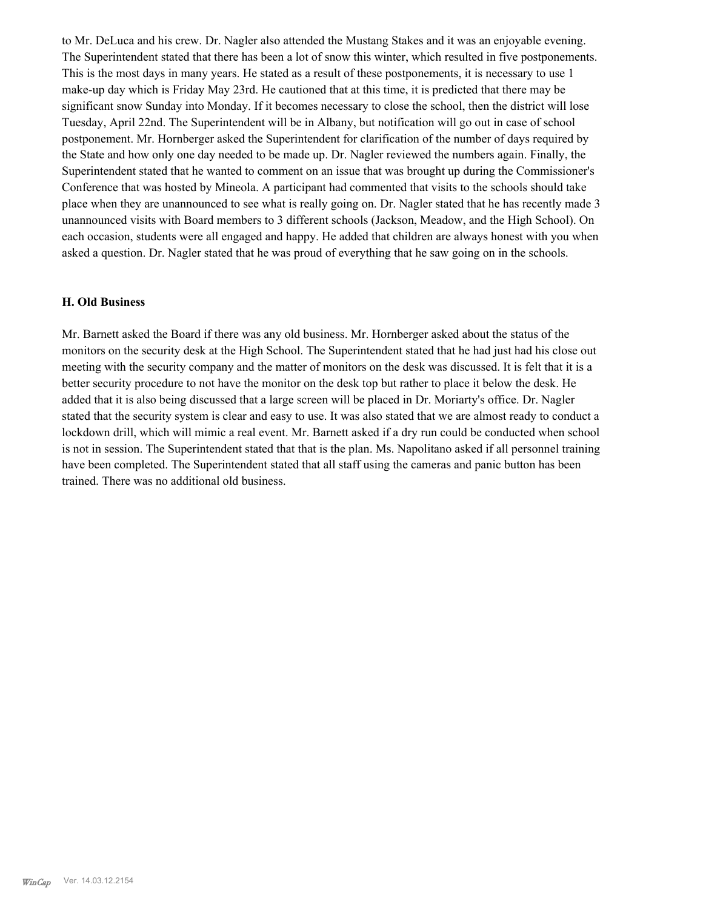to Mr. DeLuca and his crew. Dr. Nagler also attended the Mustang Stakes and it was an enjoyable evening. The Superintendent stated that there has been a lot of snow this winter, which resulted in five postponements. This is the most days in many years. He stated as a result of these postponements, it is necessary to use 1 make-up day which is Friday May 23rd. He cautioned that at this time, it is predicted that there may be significant snow Sunday into Monday. If it becomes necessary to close the school, then the district will lose Tuesday, April 22nd. The Superintendent will be in Albany, but notification will go out in case of school postponement. Mr. Hornberger asked the Superintendent for clarification of the number of days required by the State and how only one day needed to be made up. Dr. Nagler reviewed the numbers again. Finally, the Superintendent stated that he wanted to comment on an issue that was brought up during the Commissioner's Conference that was hosted by Mineola. A participant had commented that visits to the schools should take place when they are unannounced to see what is really going on. Dr. Nagler stated that he has recently made 3 unannounced visits with Board members to 3 different schools (Jackson, Meadow, and the High School). On each occasion, students were all engaged and happy. He added that children are always honest with you when asked a question. Dr. Nagler stated that he was proud of everything that he saw going on in the schools.

#### **H. Old Business**

Mr. Barnett asked the Board if there was any old business. Mr. Hornberger asked about the status of the monitors on the security desk at the High School. The Superintendent stated that he had just had his close out meeting with the security company and the matter of monitors on the desk was discussed. It is felt that it is a better security procedure to not have the monitor on the desk top but rather to place it below the desk. He added that it is also being discussed that a large screen will be placed in Dr. Moriarty's office. Dr. Nagler stated that the security system is clear and easy to use. It was also stated that we are almost ready to conduct a lockdown drill, which will mimic a real event. Mr. Barnett asked if a dry run could be conducted when school is not in session. The Superintendent stated that that is the plan. Ms. Napolitano asked if all personnel training have been completed. The Superintendent stated that all staff using the cameras and panic button has been trained. There was no additional old business.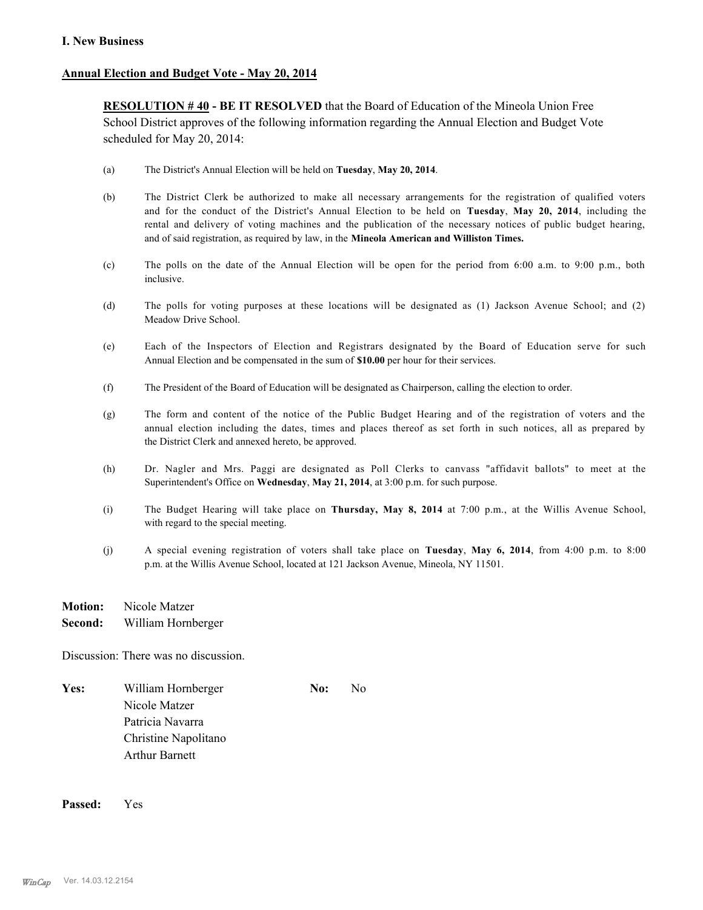#### **I. New Business**

#### **Annual Election and Budget Vote - May 20, 2014**

**RESOLUTION # 40 - BE IT RESOLVED** that the Board of Education of the Mineola Union Free School District approves of the following information regarding the Annual Election and Budget Vote scheduled for May 20, 2014:

- (a) The District's Annual Election will be held on **Tuesday**, **May 20, 2014**.
- (b) The District Clerk be authorized to make all necessary arrangements for the registration of qualified voters and for the conduct of the District's Annual Election to be held on **Tuesday**, **May 20, 2014**, including the rental and delivery of voting machines and the publication of the necessary notices of public budget hearing, and of said registration, as required by law, in the **Mineola American and Williston Times.**
- (c) The polls on the date of the Annual Election will be open for the period from 6:00 a.m. to 9:00 p.m., both inclusive.
- (d) The polls for voting purposes at these locations will be designated as (1) Jackson Avenue School; and (2) Meadow Drive School.
- (e) Each of the Inspectors of Election and Registrars designated by the Board of Education serve for such Annual Election and be compensated in the sum of **\$10.00** per hour for their services.
- (f) The President of the Board of Education will be designated as Chairperson, calling the election to order.
- (g) The form and content of the notice of the Public Budget Hearing and of the registration of voters and the annual election including the dates, times and places thereof as set forth in such notices, all as prepared by the District Clerk and annexed hereto, be approved.
- (h) Dr. Nagler and Mrs. Paggi are designated as Poll Clerks to canvass "affidavit ballots" to meet at the Superintendent's Office on **Wednesday**, **May 21, 2014**, at 3:00 p.m. for such purpose.
- (i) The Budget Hearing will take place on **Thursday, May 8, 2014** at 7:00 p.m., at the Willis Avenue School, with regard to the special meeting.
- (j) A special evening registration of voters shall take place on **Tuesday**, **May 6, 2014**, from 4:00 p.m. to 8:00 p.m. at the Willis Avenue School, located at 121 Jackson Avenue, Mineola, NY 11501.
- **Motion:** Nicole Matzer
- **Second:** William Hornberger

Discussion: There was no discussion.

Yes: William Hornberger **No:** No: No Nicole Matzer Patricia Navarra Christine Napolitano Arthur Barnett

**Passed:** Yes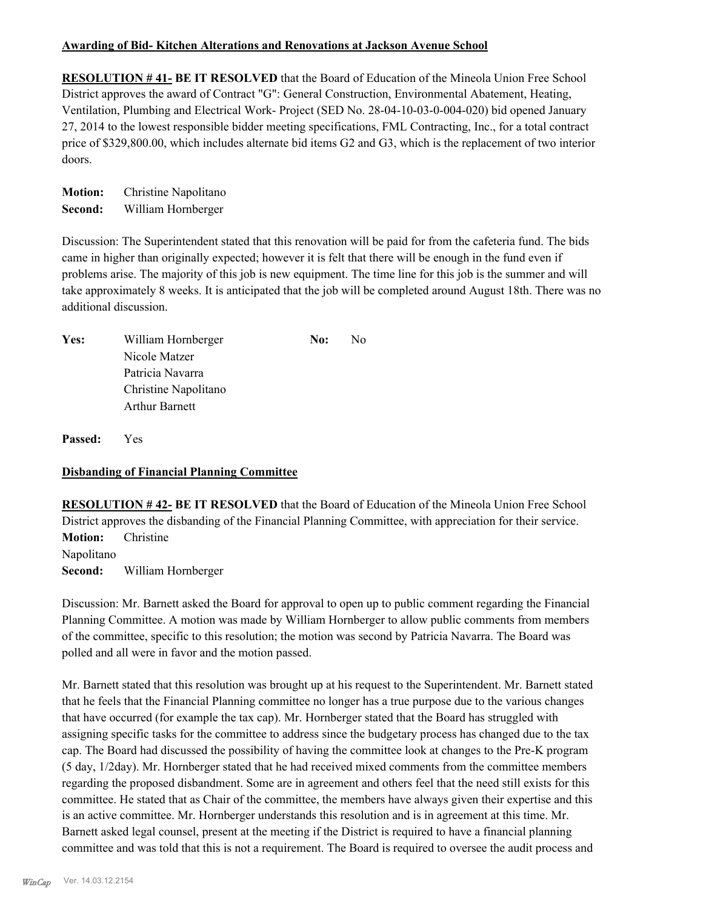#### **Awarding of Bid- Kitchen Alterations and Renovations at Jackson Avenue School**

**RESOLUTION # 41- BE IT RESOLVED** that the Board of Education of the Mineola Union Free School District approves the award of Contract "G": General Construction, Environmental Abatement, Heating, Ventilation, Plumbing and Electrical Work- Project (SED No. 28-04-10-03-0-004-020) bid opened January 27, 2014 to the lowest responsible bidder meeting specifications, FML Contracting, Inc., for a total contract price of \$329,800.00, which includes alternate bid items G2 and G3, which is the replacement of two interior doors.

**Motion:** Christine Napolitano **Second:** William Hornberger

Discussion: The Superintendent stated that this renovation will be paid for from the cafeteria fund. The bids came in higher than originally expected; however it is felt that there will be enough in the fund even if problems arise. The majority of this job is new equipment. The time line for this job is the summer and will take approximately 8 weeks. It is anticipated that the job will be completed around August 18th. There was no additional discussion.

| Yes: | William Hornberger    | No: | No. |
|------|-----------------------|-----|-----|
|      | Nicole Matzer         |     |     |
|      | Patricia Navarra      |     |     |
|      | Christine Napolitano  |     |     |
|      | <b>Arthur Barnett</b> |     |     |
|      |                       |     |     |

**Passed:** Yes

#### **Disbanding of Financial Planning Committee**

**RESOLUTION # 42- BE IT RESOLVED** that the Board of Education of the Mineola Union Free School District approves the disbanding of the Financial Planning Committee, with appreciation for their service. **Motion:** Christine Napolitano **Second:** William Hornberger

Discussion: Mr. Barnett asked the Board for approval to open up to public comment regarding the Financial Planning Committee. A motion was made by William Hornberger to allow public comments from members of the committee, specific to this resolution; the motion was second by Patricia Navarra. The Board was polled and all were in favor and the motion passed.

Mr. Barnett stated that this resolution was brought up at his request to the Superintendent. Mr. Barnett stated that he feels that the Financial Planning committee no longer has a true purpose due to the various changes that have occurred (for example the tax cap). Mr. Hornberger stated that the Board has struggled with assigning specific tasks for the committee to address since the budgetary process has changed due to the tax cap. The Board had discussed the possibility of having the committee look at changes to the Pre-K program (5 day, 1/2day). Mr. Hornberger stated that he had received mixed comments from the committee members regarding the proposed disbandment. Some are in agreement and others feel that the need still exists for this committee. He stated that as Chair of the committee, the members have always given their expertise and this is an active committee. Mr. Hornberger understands this resolution and is in agreement at this time. Mr. Barnett asked legal counsel, present at the meeting if the District is required to have a financial planning committee and was told that this is not a requirement. The Board is required to oversee the audit process and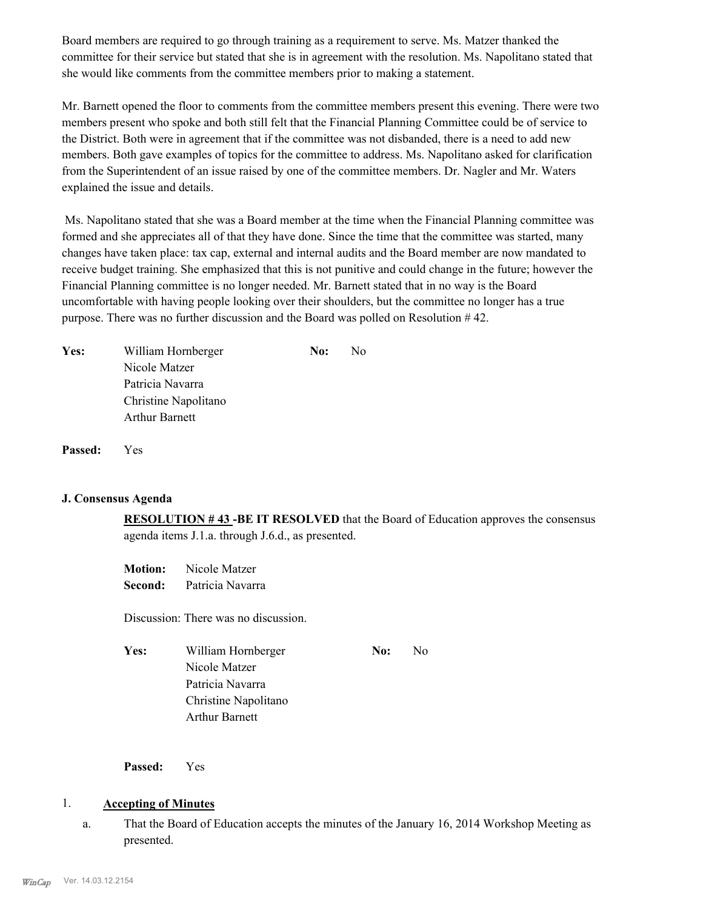Board members are required to go through training as a requirement to serve. Ms. Matzer thanked the committee for their service but stated that she is in agreement with the resolution. Ms. Napolitano stated that she would like comments from the committee members prior to making a statement.

Mr. Barnett opened the floor to comments from the committee members present this evening. There were two members present who spoke and both still felt that the Financial Planning Committee could be of service to the District. Both were in agreement that if the committee was not disbanded, there is a need to add new members. Both gave examples of topics for the committee to address. Ms. Napolitano asked for clarification from the Superintendent of an issue raised by one of the committee members. Dr. Nagler and Mr. Waters explained the issue and details.

 Ms. Napolitano stated that she was a Board member at the time when the Financial Planning committee was formed and she appreciates all of that they have done. Since the time that the committee was started, many changes have taken place: tax cap, external and internal audits and the Board member are now mandated to receive budget training. She emphasized that this is not punitive and could change in the future; however the Financial Planning committee is no longer needed. Mr. Barnett stated that in no way is the Board uncomfortable with having people looking over their shoulders, but the committee no longer has a true purpose. There was no further discussion and the Board was polled on Resolution # 42.

| <b>Yes:</b> | William Hornberger    | No: | No |
|-------------|-----------------------|-----|----|
|             | Nicole Matzer         |     |    |
|             | Patricia Navarra      |     |    |
|             | Christine Napolitano  |     |    |
|             | <b>Arthur Barnett</b> |     |    |
|             |                       |     |    |

**Passed:** Yes

#### **J. Consensus Agenda**

**RESOLUTION # 43 -BE IT RESOLVED** that the Board of Education approves the consensus agenda items J.1.a. through J.6.d., as presented.

**Motion:** Nicole Matzer **Second:** Patricia Navarra

Discussion: There was no discussion.

| Yes: | William Hornberger    |  | -No |
|------|-----------------------|--|-----|
|      | Nicole Matzer         |  |     |
|      | Patricia Navarra      |  |     |
|      | Christine Napolitano  |  |     |
|      | <b>Arthur Barnett</b> |  |     |

**Passed:** Yes

#### 1. **Accepting of Minutes**

That the Board of Education accepts the minutes of the January 16, 2014 Workshop Meeting as presented. a.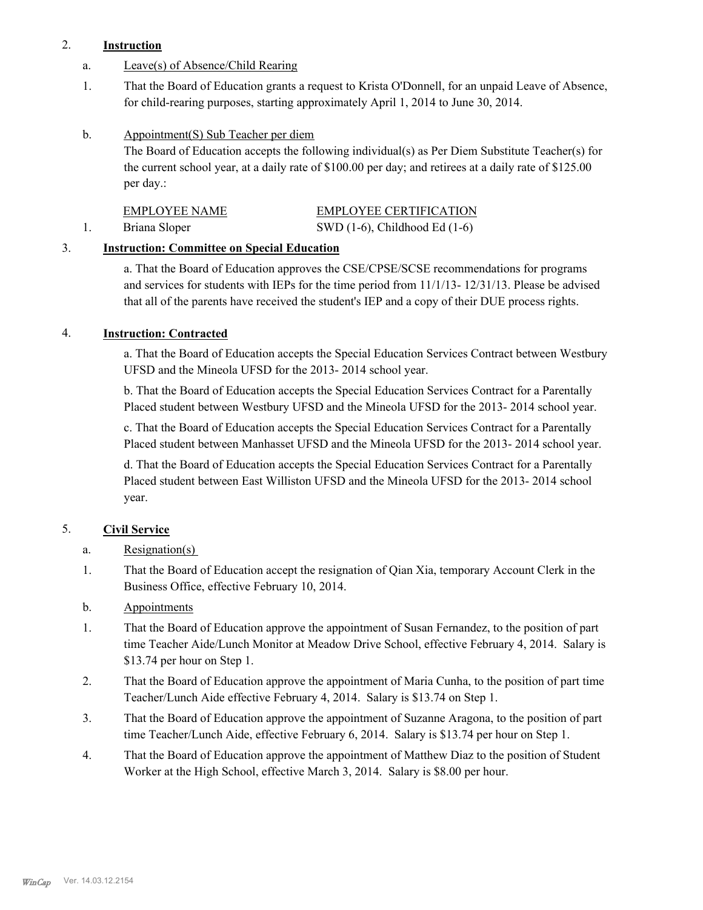# 2. **Instruction**

- a. Leave(s) of Absence/Child Rearing
- That the Board of Education grants a request to Krista O'Donnell, for an unpaid Leave of Absence, for child-rearing purposes, starting approximately April 1, 2014 to June 30, 2014. 1.
- Appointment(S) Sub Teacher per diem b.

The Board of Education accepts the following individual(s) as Per Diem Substitute Teacher(s) for the current school year, at a daily rate of \$100.00 per day; and retirees at a daily rate of \$125.00 per day.:

| <b>EMPLOYEE NAME</b> | <b>EMPLOYEE CERTIFICATION</b>      |
|----------------------|------------------------------------|
| Briana Sloper        | SWD $(1-6)$ , Childhood Ed $(1-6)$ |

# 3. **Instruction: Committee on Special Education**

a. That the Board of Education approves the CSE/CPSE/SCSE recommendations for programs and services for students with IEPs for the time period from 11/1/13- 12/31/13. Please be advised that all of the parents have received the student's IEP and a copy of their DUE process rights.

# 4. **Instruction: Contracted**

a. That the Board of Education accepts the Special Education Services Contract between Westbury UFSD and the Mineola UFSD for the 2013- 2014 school year.

b. That the Board of Education accepts the Special Education Services Contract for a Parentally Placed student between Westbury UFSD and the Mineola UFSD for the 2013- 2014 school year.

c. That the Board of Education accepts the Special Education Services Contract for a Parentally Placed student between Manhasset UFSD and the Mineola UFSD for the 2013- 2014 school year.

d. That the Board of Education accepts the Special Education Services Contract for a Parentally Placed student between East Williston UFSD and the Mineola UFSD for the 2013- 2014 school year.

# 5. **Civil Service**

- a. Resignation(s)
- That the Board of Education accept the resignation of Qian Xia, temporary Account Clerk in the Business Office, effective February 10, 2014. 1.
- b. Appointments
- That the Board of Education approve the appointment of Susan Fernandez, to the position of part time Teacher Aide/Lunch Monitor at Meadow Drive School, effective February 4, 2014. Salary is \$13.74 per hour on Step 1. 1.
- That the Board of Education approve the appointment of Maria Cunha, to the position of part time Teacher/Lunch Aide effective February 4, 2014. Salary is \$13.74 on Step 1. 2.
- That the Board of Education approve the appointment of Suzanne Aragona, to the position of part time Teacher/Lunch Aide, effective February 6, 2014. Salary is \$13.74 per hour on Step 1. 3.
- That the Board of Education approve the appointment of Matthew Diaz to the position of Student Worker at the High School, effective March 3, 2014. Salary is \$8.00 per hour. 4.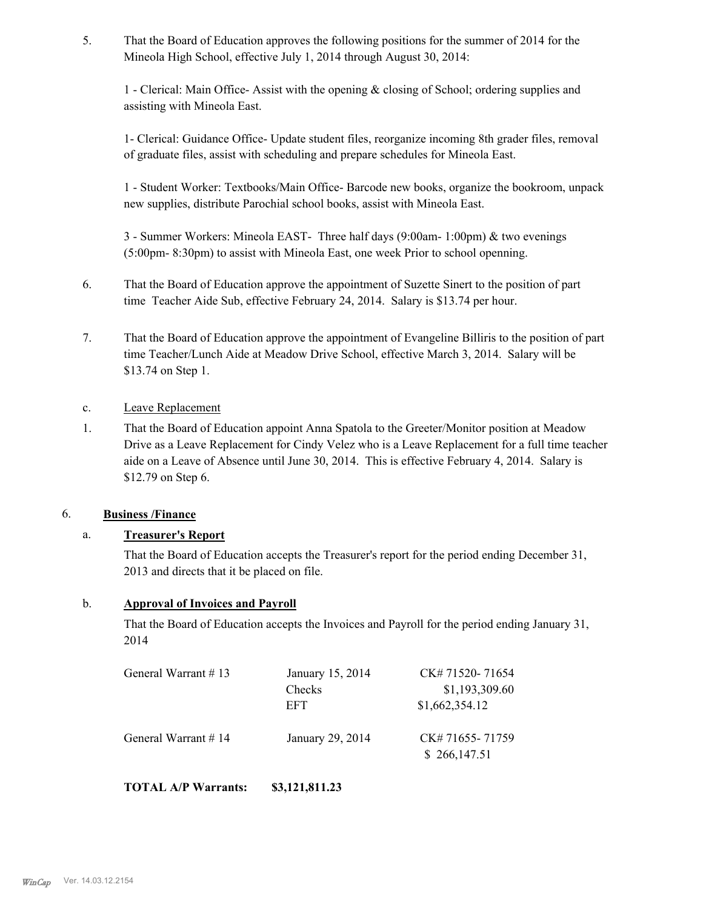That the Board of Education approves the following positions for the summer of 2014 for the Mineola High School, effective July 1, 2014 through August 30, 2014: 5.

1 - Clerical: Main Office- Assist with the opening & closing of School; ordering supplies and assisting with Mineola East.

1- Clerical: Guidance Office- Update student files, reorganize incoming 8th grader files, removal of graduate files, assist with scheduling and prepare schedules for Mineola East.

1 - Student Worker: Textbooks/Main Office- Barcode new books, organize the bookroom, unpack new supplies, distribute Parochial school books, assist with Mineola East.

3 - Summer Workers: Mineola EAST- Three half days (9:00am- 1:00pm) & two evenings (5:00pm- 8:30pm) to assist with Mineola East, one week Prior to school openning.

- That the Board of Education approve the appointment of Suzette Sinert to the position of part time Teacher Aide Sub, effective February 24, 2014. Salary is \$13.74 per hour. 6.
- That the Board of Education approve the appointment of Evangeline Billiris to the position of part time Teacher/Lunch Aide at Meadow Drive School, effective March 3, 2014. Salary will be \$13.74 on Step 1. 7.
- c. Leave Replacement
- That the Board of Education appoint Anna Spatola to the Greeter/Monitor position at Meadow Drive as a Leave Replacement for Cindy Velez who is a Leave Replacement for a full time teacher aide on a Leave of Absence until June 30, 2014. This is effective February 4, 2014. Salary is \$12.79 on Step 6. 1.

# 6. **Business /Finance**

# a. **Treasurer's Report**

That the Board of Education accepts the Treasurer's report for the period ending December 31, 2013 and directs that it be placed on file.

#### b. **Approval of Invoices and Payroll**

That the Board of Education accepts the Invoices and Payroll for the period ending January 31, 2014

| General Warrant #13 | January 15, 2014 | CK# 71520-71654                 |
|---------------------|------------------|---------------------------------|
|                     | Checks           | \$1,193,309.60                  |
|                     | EFT              | \$1,662,354.12                  |
| General Warrant #14 | January 29, 2014 | CK# 71655-71759<br>\$266,147.51 |

**TOTAL A/P Warrants: \$3,121,811.23**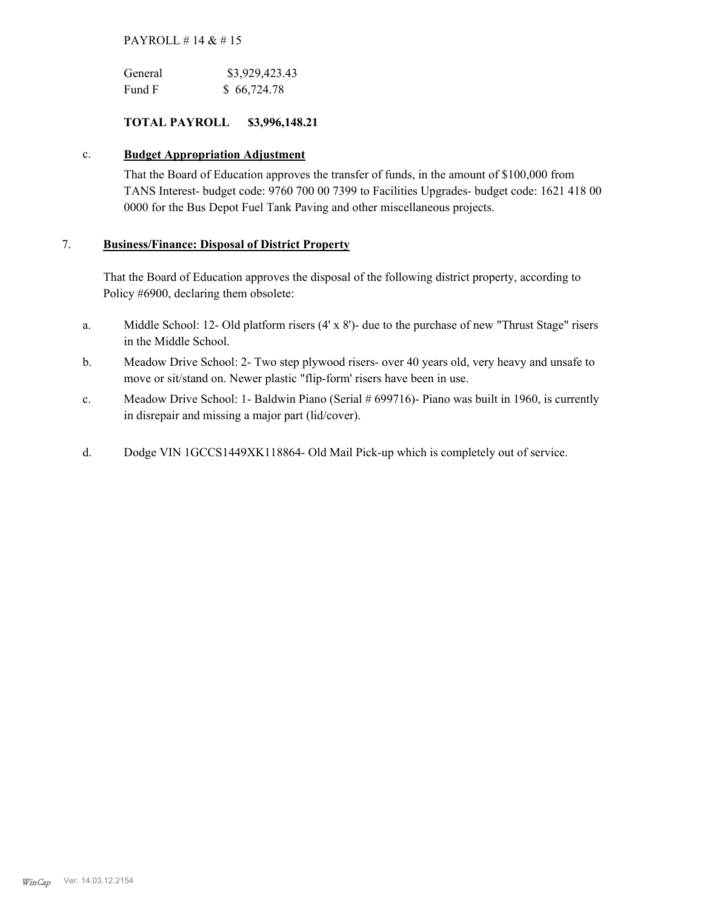#### PAYROLL # 14 & # 15

| General | \$3,929,423.43 |
|---------|----------------|
| Fund F  | \$66,724.78    |

#### **TOTAL PAYROLL \$3,996,148.21**

#### c. **Budget Appropriation Adjustment**

That the Board of Education approves the transfer of funds, in the amount of \$100,000 from TANS Interest- budget code: 9760 700 00 7399 to Facilities Upgrades- budget code: 1621 418 00 0000 for the Bus Depot Fuel Tank Paving and other miscellaneous projects.

#### **Business/Finance: Disposal of District Property** 7.

That the Board of Education approves the disposal of the following district property, according to Policy #6900, declaring them obsolete:

- Middle School: 12- Old platform risers (4' x 8')- due to the purchase of new "Thrust Stage" risers in the Middle School. a.
- Meadow Drive School: 2- Two step plywood risers- over 40 years old, very heavy and unsafe to move or sit/stand on. Newer plastic "flip-form' risers have been in use. b.
- Meadow Drive School: 1- Baldwin Piano (Serial # 699716)- Piano was built in 1960, is currently in disrepair and missing a major part (lid/cover). c.
- d. Dodge VIN 1GCCS1449XK118864- Old Mail Pick-up which is completely out of service.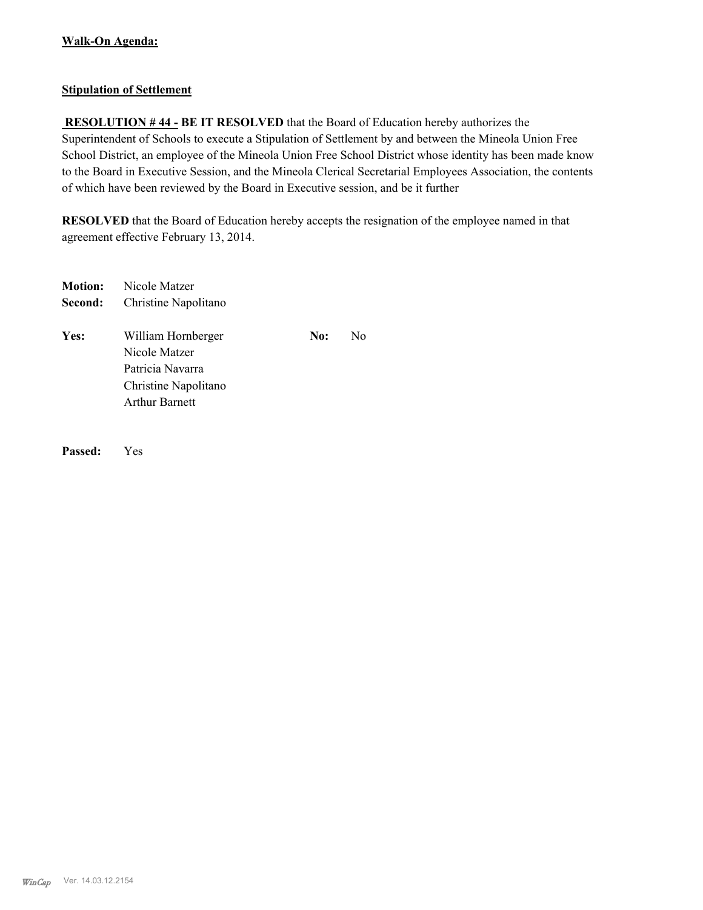## **Stipulation of Settlement**

 **RESOLUTION # 44 - BE IT RESOLVED** that the Board of Education hereby authorizes the Superintendent of Schools to execute a Stipulation of Settlement by and between the Mineola Union Free School District, an employee of the Mineola Union Free School District whose identity has been made know to the Board in Executive Session, and the Mineola Clerical Secretarial Employees Association, the contents of which have been reviewed by the Board in Executive session, and be it further

**RESOLVED** that the Board of Education hereby accepts the resignation of the employee named in that agreement effective February 13, 2014.

| <b>Motion:</b> | Nicole Matzer                                                                                     |     |    |
|----------------|---------------------------------------------------------------------------------------------------|-----|----|
| Second:        | Christine Napolitano                                                                              |     |    |
| Yes:           | William Hornberger<br>Nicole Matzer<br>Patricia Navarra<br>Christine Napolitano<br>Arthur Barnett | No: | N0 |
|                |                                                                                                   |     |    |

**Passed:** Yes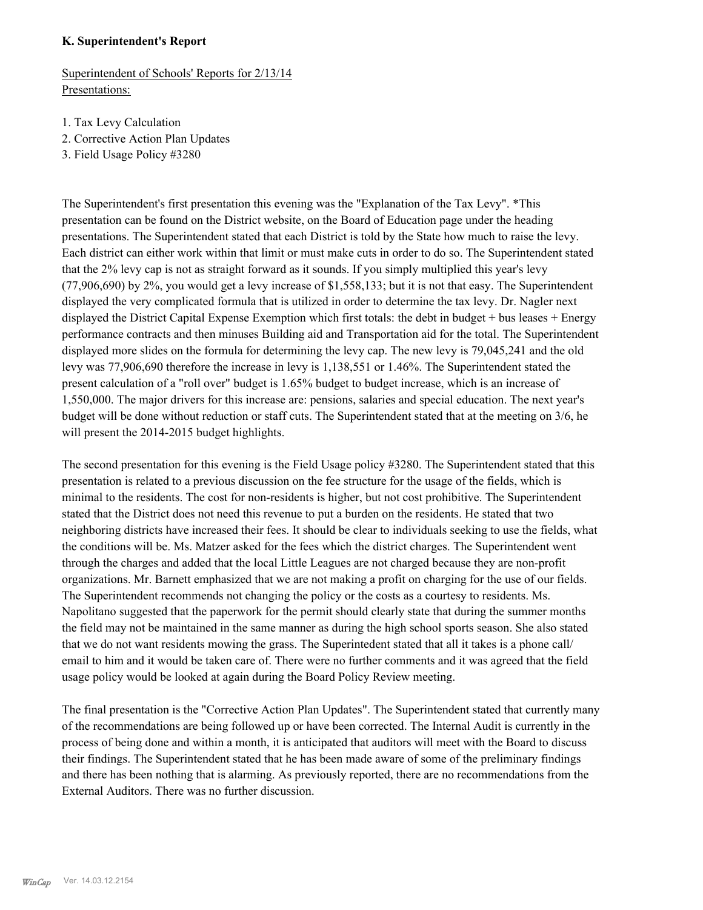#### **K. Superintendent's Report**

Superintendent of Schools' Reports for 2/13/14 Presentations:

- 1. Tax Levy Calculation
- 2. Corrective Action Plan Updates
- 3. Field Usage Policy #3280

The Superintendent's first presentation this evening was the "Explanation of the Tax Levy". \*This presentation can be found on the District website, on the Board of Education page under the heading presentations. The Superintendent stated that each District is told by the State how much to raise the levy. Each district can either work within that limit or must make cuts in order to do so. The Superintendent stated that the 2% levy cap is not as straight forward as it sounds. If you simply multiplied this year's levy (77,906,690) by 2%, you would get a levy increase of \$1,558,133; but it is not that easy. The Superintendent displayed the very complicated formula that is utilized in order to determine the tax levy. Dr. Nagler next displayed the District Capital Expense Exemption which first totals: the debt in budget + bus leases + Energy performance contracts and then minuses Building aid and Transportation aid for the total. The Superintendent displayed more slides on the formula for determining the levy cap. The new levy is 79,045,241 and the old levy was 77,906,690 therefore the increase in levy is 1,138,551 or 1.46%. The Superintendent stated the present calculation of a "roll over" budget is 1.65% budget to budget increase, which is an increase of 1,550,000. The major drivers for this increase are: pensions, salaries and special education. The next year's budget will be done without reduction or staff cuts. The Superintendent stated that at the meeting on 3/6, he will present the 2014-2015 budget highlights.

The second presentation for this evening is the Field Usage policy #3280. The Superintendent stated that this presentation is related to a previous discussion on the fee structure for the usage of the fields, which is minimal to the residents. The cost for non-residents is higher, but not cost prohibitive. The Superintendent stated that the District does not need this revenue to put a burden on the residents. He stated that two neighboring districts have increased their fees. It should be clear to individuals seeking to use the fields, what the conditions will be. Ms. Matzer asked for the fees which the district charges. The Superintendent went through the charges and added that the local Little Leagues are not charged because they are non-profit organizations. Mr. Barnett emphasized that we are not making a profit on charging for the use of our fields. The Superintendent recommends not changing the policy or the costs as a courtesy to residents. Ms. Napolitano suggested that the paperwork for the permit should clearly state that during the summer months the field may not be maintained in the same manner as during the high school sports season. She also stated that we do not want residents mowing the grass. The Superintedent stated that all it takes is a phone call/ email to him and it would be taken care of. There were no further comments and it was agreed that the field usage policy would be looked at again during the Board Policy Review meeting.

The final presentation is the "Corrective Action Plan Updates". The Superintendent stated that currently many of the recommendations are being followed up or have been corrected. The Internal Audit is currently in the process of being done and within a month, it is anticipated that auditors will meet with the Board to discuss their findings. The Superintendent stated that he has been made aware of some of the preliminary findings and there has been nothing that is alarming. As previously reported, there are no recommendations from the External Auditors. There was no further discussion.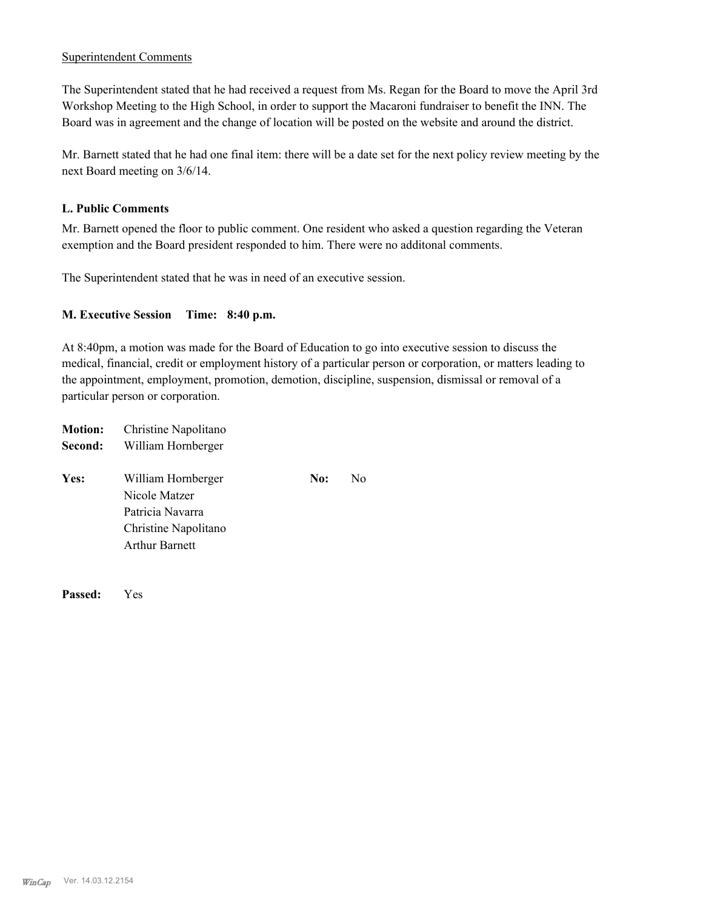#### Superintendent Comments

The Superintendent stated that he had received a request from Ms. Regan for the Board to move the April 3rd Workshop Meeting to the High School, in order to support the Macaroni fundraiser to benefit the INN. The Board was in agreement and the change of location will be posted on the website and around the district.

Mr. Barnett stated that he had one final item: there will be a date set for the next policy review meeting by the next Board meeting on 3/6/14.

#### **L. Public Comments**

Mr. Barnett opened the floor to public comment. One resident who asked a question regarding the Veteran exemption and the Board president responded to him. There were no additonal comments.

The Superintendent stated that he was in need of an executive session.

#### **M. Executive Session Time: 8:40 p.m.**

At 8:40pm, a motion was made for the Board of Education to go into executive session to discuss the medical, financial, credit or employment history of a particular person or corporation, or matters leading to the appointment, employment, promotion, demotion, discipline, suspension, dismissal or removal of a particular person or corporation.

| <b>Motion:</b> | Christine Napolitano                                                                                     |     |    |  |  |
|----------------|----------------------------------------------------------------------------------------------------------|-----|----|--|--|
| Second:        | William Hornberger                                                                                       |     |    |  |  |
| Yes:           | William Hornberger<br>Nicole Matzer<br>Patricia Navarra<br>Christine Napolitano<br><b>Arthur Barnett</b> | No: | N0 |  |  |
|                |                                                                                                          |     |    |  |  |

**Passed:** Yes